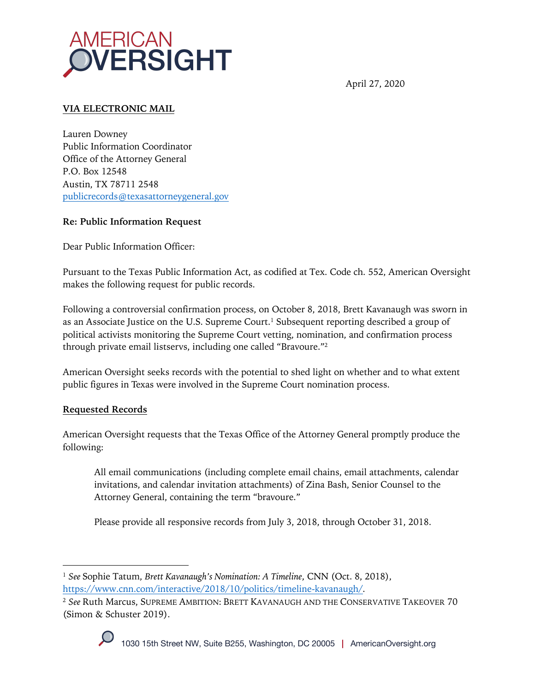

April 27, 2020

# **VIA ELECTRONIC MAIL**

Lauren Downey Public Information Coordinator Office of the Attorney General P.O. Box 12548 Austin, TX 78711 2548 publicrecords@texasattorneygeneral.gov

#### **Re: Public Information Request**

Dear Public Information Officer:

Pursuant to the Texas Public Information Act, as codified at Tex. Code ch. 552, American Oversight makes the following request for public records.

Following a controversial confirmation process, on October 8, 2018, Brett Kavanaugh was sworn in as an Associate Justice on the U.S. Supreme Court.<sup>1</sup> Subsequent reporting described a group of political activists monitoring the Supreme Court vetting, nomination, and confirmation process through private email listservs, including one called "Bravoure."2

American Oversight seeks records with the potential to shed light on whether and to what extent public figures in Texas were involved in the Supreme Court nomination process.

## **Requested Records**

American Oversight requests that the Texas Office of the Attorney General promptly produce the following:

All email communications (including complete email chains, email attachments, calendar invitations, and calendar invitation attachments) of Zina Bash, Senior Counsel to the Attorney General, containing the term "bravoure."

Please provide all responsive records from July 3, 2018, through October 31, 2018.

<sup>2</sup> *See* Ruth Marcus, SUPREME AMBITION: BRETT KAVANAUGH AND THE CONSERVATIVE TAKEOVER 70 (Simon & Schuster 2019).



<sup>1</sup> *See* Sophie Tatum, *Brett Kavanaugh's Nomination: A Timeline*, CNN (Oct. 8, 2018), https://www.cnn.com/interactive/2018/10/politics/timeline-kavanaugh/.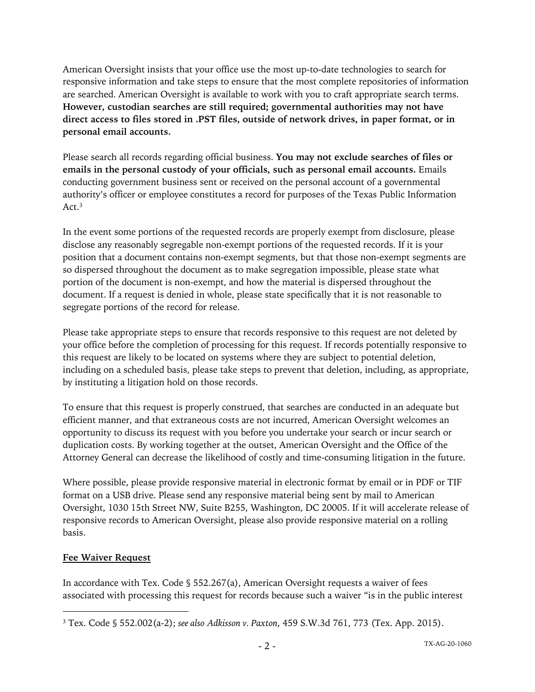American Oversight insists that your office use the most up-to-date technologies to search for responsive information and take steps to ensure that the most complete repositories of information are searched. American Oversight is available to work with you to craft appropriate search terms. **However, custodian searches are still required; governmental authorities may not have direct access to files stored in .PST files, outside of network drives, in paper format, or in personal email accounts.**

Please search all records regarding official business. **You may not exclude searches of files or emails in the personal custody of your officials, such as personal email accounts.** Emails conducting government business sent or received on the personal account of a governmental authority's officer or employee constitutes a record for purposes of the Texas Public Information Act.<sup>3</sup>

In the event some portions of the requested records are properly exempt from disclosure, please disclose any reasonably segregable non-exempt portions of the requested records. If it is your position that a document contains non-exempt segments, but that those non-exempt segments are so dispersed throughout the document as to make segregation impossible, please state what portion of the document is non-exempt, and how the material is dispersed throughout the document. If a request is denied in whole, please state specifically that it is not reasonable to segregate portions of the record for release.

Please take appropriate steps to ensure that records responsive to this request are not deleted by your office before the completion of processing for this request. If records potentially responsive to this request are likely to be located on systems where they are subject to potential deletion, including on a scheduled basis, please take steps to prevent that deletion, including, as appropriate, by instituting a litigation hold on those records.

To ensure that this request is properly construed, that searches are conducted in an adequate but efficient manner, and that extraneous costs are not incurred, American Oversight welcomes an opportunity to discuss its request with you before you undertake your search or incur search or duplication costs. By working together at the outset, American Oversight and the Office of the Attorney General can decrease the likelihood of costly and time-consuming litigation in the future.

Where possible, please provide responsive material in electronic format by email or in PDF or TIF format on a USB drive. Please send any responsive material being sent by mail to American Oversight, 1030 15th Street NW, Suite B255, Washington, DC 20005. If it will accelerate release of responsive records to American Oversight, please also provide responsive material on a rolling basis.

## **Fee Waiver Request**

In accordance with Tex. Code § 552.267(a), American Oversight requests a waiver of fees associated with processing this request for records because such a waiver "is in the public interest

<sup>3</sup> Tex. Code § 552.002(a-2); *see also Adkisson v. Paxton*, 459 S.W.3d 761, 773 (Tex. App. 2015).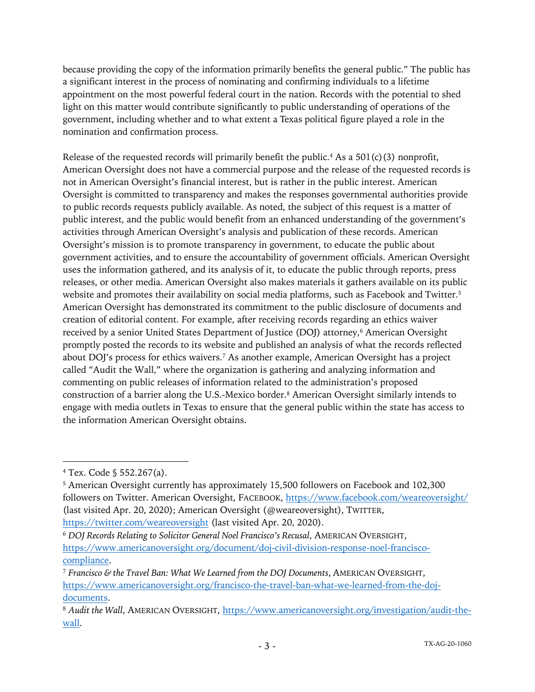because providing the copy of the information primarily benefits the general public." The public has a significant interest in the process of nominating and confirming individuals to a lifetime appointment on the most powerful federal court in the nation. Records with the potential to shed light on this matter would contribute significantly to public understanding of operations of the government, including whether and to what extent a Texas political figure played a role in the nomination and confirmation process.

Release of the requested records will primarily benefit the public.<sup>4</sup> As a  $501(c)(3)$  nonprofit, American Oversight does not have a commercial purpose and the release of the requested records is not in American Oversight's financial interest, but is rather in the public interest. American Oversight is committed to transparency and makes the responses governmental authorities provide to public records requests publicly available. As noted, the subject of this request is a matter of public interest, and the public would benefit from an enhanced understanding of the government's activities through American Oversight's analysis and publication of these records. American Oversight's mission is to promote transparency in government, to educate the public about government activities, and to ensure the accountability of government officials. American Oversight uses the information gathered, and its analysis of it, to educate the public through reports, press releases, or other media. American Oversight also makes materials it gathers available on its public website and promotes their availability on social media platforms, such as Facebook and Twitter.<sup>5</sup> American Oversight has demonstrated its commitment to the public disclosure of documents and creation of editorial content. For example, after receiving records regarding an ethics waiver received by a senior United States Department of Justice (DOJ) attorney,<sup>6</sup> American Oversight promptly posted the records to its website and published an analysis of what the records reflected about DOJ's process for ethics waivers.7 As another example, American Oversight has a project called "Audit the Wall," where the organization is gathering and analyzing information and commenting on public releases of information related to the administration's proposed construction of a barrier along the U.S.-Mexico border.8 American Oversight similarly intends to engage with media outlets in Texas to ensure that the general public within the state has access to the information American Oversight obtains.

<sup>4</sup> Tex. Code § 552.267(a).

<sup>5</sup> American Oversight currently has approximately 15,500 followers on Facebook and 102,300 followers on Twitter. American Oversight, FACEBOOK, https://www.facebook.com/weareoversight/ (last visited Apr. 20, 2020); American Oversight (@weareoversight), TWITTER, https://twitter.com/weareoversight (last visited Apr. 20, 2020).

<sup>6</sup> *DOJ Records Relating to Solicitor General Noel Francisco's Recusal*, AMERICAN OVERSIGHT, https://www.americanoversight.org/document/doj-civil-division-response-noel-franciscocompliance.

<sup>7</sup> *Francisco & the Travel Ban: What We Learned from the DOJ Documents*, AMERICAN OVERSIGHT, https://www.americanoversight.org/francisco-the-travel-ban-what-we-learned-from-the-dojdocuments.

<sup>8</sup> *Audit the Wall*, AMERICAN OVERSIGHT, https://www.americanoversight.org/investigation/audit-thewall.